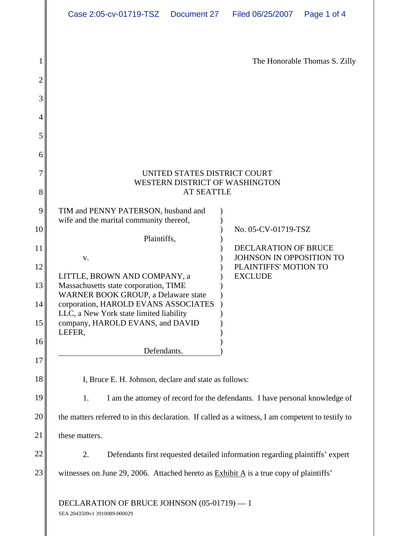|      | Case 2:05-cv-01719-TSZ  Document 27  Filed 06/25/2007  Page 1 of 4                    |                                  |
|------|---------------------------------------------------------------------------------------|----------------------------------|
|      |                                                                                       |                                  |
|      |                                                                                       |                                  |
|      |                                                                                       | The Honorable Thomas S. Zilly    |
|      |                                                                                       |                                  |
|      |                                                                                       |                                  |
|      |                                                                                       |                                  |
|      |                                                                                       |                                  |
|      |                                                                                       |                                  |
|      |                                                                                       |                                  |
|      | UNITED STATES DISTRICT COURT                                                          |                                  |
|      | WESTERN DISTRICT OF WASHINGTON                                                        |                                  |
|      | <b>AT SEATTLE</b>                                                                     |                                  |
|      | TIM and PENNY PATERSON, husband and<br>wife and the marital community thereof,        |                                  |
|      |                                                                                       | No. 05-CV-01719-TSZ              |
|      | Plaintiffs,                                                                           | DECLARATION OF BRUCE             |
|      | $\mathbf{V}$ .                                                                        | JOHNSON IN OPPOSITION TO         |
|      | LITTLE, BROWN AND COMPANY, a                                                          | PLAINTIFFS' MOTION TO<br>EXCLUDE |
|      | Massachusetts state corporation, TIME<br>WARNER BOOK GROUP, a Delaware state          |                                  |
|      | corporation, HAROLD EVANS ASSOCIATES )                                                |                                  |
|      | LLC, a New York state limited liability<br>company, HAROLD EVANS, and DAVID<br>LEFER, |                                  |
| 6 II |                                                                                       |                                  |
|      | Defendants.                                                                           |                                  |
|      |                                                                                       |                                  |

18 I, Bruce E. H. Johnson, declare and state as follows:

19 1. I am the attorney of record for the defendants. I have personal knowledge of

20 the matters referred to in this declaration. If called as a witness, I am competent to testify to

 $21$  these matters. these matters.

22 || 2. Defendants first requested detailed information regarding plaintiffs' expert | 23 witnesses on June 29, 2006. Attached hereto as  $\frac{\text{Exhibit A}}{\text{A}}$  is a true copy of plaintiffs'

DECLARATION OF BRUCE JOHNSON  $(05-01719) - 1$ SEA 2043509v1 3910089-000029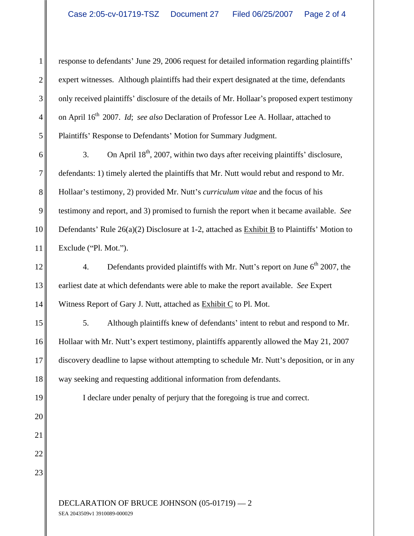1 || response to defendants' June 29, 2006 request for detailed information regarding plaintiffs' || 2 expert witnesses. Although plaintiffs had their expert designated at the time, defendants 3 || only received plaintiffs' disclosure of the details of Mr. Hollaar's proposed expert testimony || 4 on April 16<sup>th</sup> 2007. *Id*; *see also* Declaration of Professor Lee A. Hollaar, attached to 5 || Plaintiffs' Response to Defendants' Motion for Summary Judgment.

6  $\parallel$  3. On April 18<sup>th</sup>, 2007, within two days after receiving plaintiffs' disclosure, 7 defendants: 1) timely alerted the plaintiffs that Mr. Nutt would rebut and respond to Mr. 8 || Hollaar's testimony, 2) provided Mr. Nutt's *curriculum vitae* and the focus of his 9 testimony and report, and 3) promised to furnish the report when it became available. *See* 10 Defendants' Rule 26(a)(2) Disclosure at 1-2, attached as  $\frac{Exhibit B}{B}$  to Plaintiffs' Motion to  $11$  Exclude ("Pl. Mot."). Plaintiffs' Response to Defendants' Motion for Summary Judgment.<br>3. On April 18<sup>th</sup>, 2007, within two days after receiving plaintiffs' disclosure,<br>defendants: 1) timely alerted the plaintiffs that Mr. Nutt would rebut and  $\blacksquare$  Exclude ("Pl. Mot.").

 $12$  4. Defendants provided plaintiffs with Mr. Nutt's report on June 6<sup>th</sup> 2007, the 13 earliest date at which defendants were able to make the report available. *See* Expert 14 Witness Report of Gary J. Nutt, attached as Exhibit C to Pl. Mot.

15 [Stephand 15] 5. Although plaintiffs knew of defendants' intent to rebut and respond to Mr. 16 Hollaar with Mr. Nutt's expert testimony, plaintiffs apparently allowed the May 21, 2007 17 discovery deadline to lapse without attempting to schedule Mr. Nutt's deposition, or in any 18<sup> $\parallel$ </sup> way seeking and requesting additional information from defendants. Witness Report of Gary J. Nutt, attached as  $\frac{\text{Exhibit C}}{\text{C}}$  to Pl. Mot.<br>5. Although plaintiffs knew of defendants' intent to rebut and respond to Mr.

19 I declare under penalty of perjury that the foregoing is true and correct.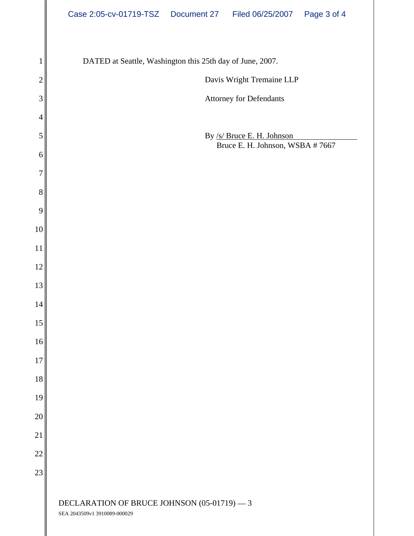|              | Case 2:05-cv-01719-TSZ  Document 27  Filed 06/25/2007  Page 3 of 4 |
|--------------|--------------------------------------------------------------------|
|              |                                                                    |
|              | DATED at Seattle, Washington this 25th day of June, 2007.          |
| $2\parallel$ | Davis Wright Tremaine LLP                                          |
| $3\vert$     | Attorney for Defendants                                            |
| $4\parallel$ |                                                                    |
| 5            | By /s/ Bruce E. H. Johnson<br>Bruce E. H. Johnson, WSBA # 7667     |
| $6\ $        |                                                                    |
| 7            |                                                                    |
| $8\parallel$ |                                                                    |
| 9            |                                                                    |
| 10           |                                                                    |
| 11           |                                                                    |
| 12           |                                                                    |
| 13           |                                                                    |
| 14 II        |                                                                    |
| 5            |                                                                    |
| $16\vert$    |                                                                    |
| 17 II        |                                                                    |
| 18           |                                                                    |
| 19           |                                                                    |
| 20           |                                                                    |
| 21           |                                                                    |
| 22           |                                                                    |
| 23           |                                                                    |
|              | DECLARATION OF BRUCE JOHNSON (05-01719) - 3                        |
|              |                                                                    |